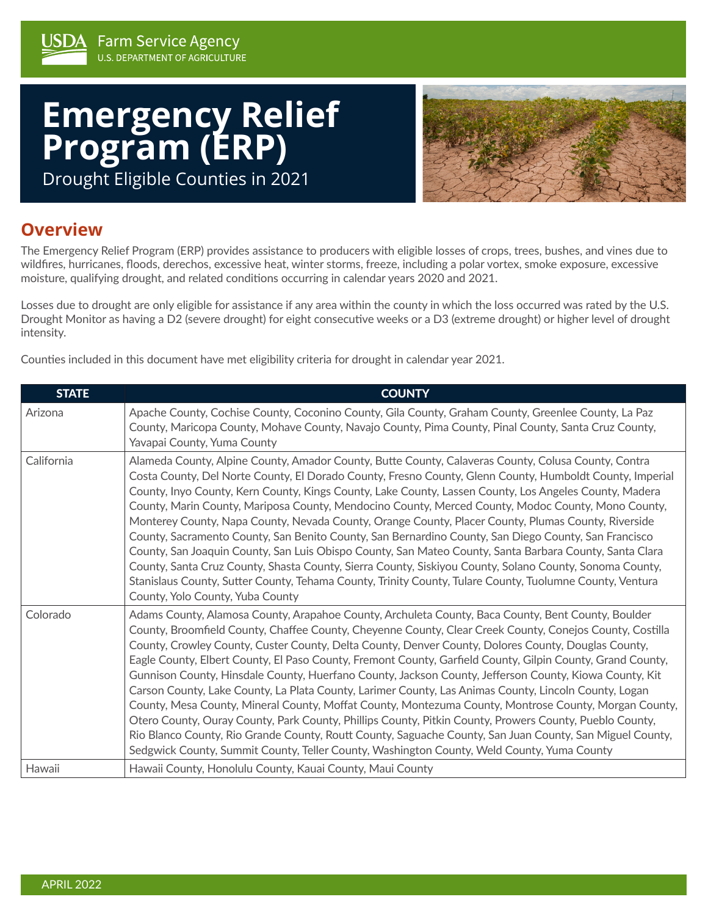# **Emergency Relief Program (ERP)**

Drought Eligible Counties in 2021



## **Overview**

The Emergency Relief Program (ERP) provides assistance to producers with eligible losses of crops, trees, bushes, and vines due to wildfires, hurricanes, floods, derechos, excessive heat, winter storms, freeze, including a polar vortex, smoke exposure, excessive moisture, qualifying drought, and related conditions occurring in calendar years 2020 and 2021.

Losses due to drought are only eligible for assistance if any area within the county in which the loss occurred was rated by the U.S. Drought Monitor as having a D2 (severe drought) for eight consecutive weeks or a D3 (extreme drought) or higher level of drought intensity.

Counties included in this document have met eligibility criteria for drought in calendar year 2021.

| <b>STATE</b> | <b>COUNTY</b>                                                                                                                                                                                                                                                                                                                                                                                                                                                                                                                                                                                                                                                                                                                                                                                                                                                                                                                                                                                                                                                                        |
|--------------|--------------------------------------------------------------------------------------------------------------------------------------------------------------------------------------------------------------------------------------------------------------------------------------------------------------------------------------------------------------------------------------------------------------------------------------------------------------------------------------------------------------------------------------------------------------------------------------------------------------------------------------------------------------------------------------------------------------------------------------------------------------------------------------------------------------------------------------------------------------------------------------------------------------------------------------------------------------------------------------------------------------------------------------------------------------------------------------|
| Arizona      | Apache County, Cochise County, Coconino County, Gila County, Graham County, Greenlee County, La Paz<br>County, Maricopa County, Mohave County, Navajo County, Pima County, Pinal County, Santa Cruz County,<br>Yavapai County, Yuma County                                                                                                                                                                                                                                                                                                                                                                                                                                                                                                                                                                                                                                                                                                                                                                                                                                           |
| California   | Alameda County, Alpine County, Amador County, Butte County, Calaveras County, Colusa County, Contra<br>Costa County, Del Norte County, El Dorado County, Fresno County, Glenn County, Humboldt County, Imperial<br>County, Inyo County, Kern County, Kings County, Lake County, Lassen County, Los Angeles County, Madera<br>County, Marin County, Mariposa County, Mendocino County, Merced County, Modoc County, Mono County,<br>Monterey County, Napa County, Nevada County, Orange County, Placer County, Plumas County, Riverside<br>County, Sacramento County, San Benito County, San Bernardino County, San Diego County, San Francisco<br>County, San Joaquin County, San Luis Obispo County, San Mateo County, Santa Barbara County, Santa Clara<br>County, Santa Cruz County, Shasta County, Sierra County, Siskiyou County, Solano County, Sonoma County,<br>Stanislaus County, Sutter County, Tehama County, Trinity County, Tulare County, Tuolumne County, Ventura<br>County, Yolo County, Yuba County                                                                 |
| Colorado     | Adams County, Alamosa County, Arapahoe County, Archuleta County, Baca County, Bent County, Boulder<br>County, Broomfield County, Chaffee County, Cheyenne County, Clear Creek County, Conejos County, Costilla<br>County, Crowley County, Custer County, Delta County, Denver County, Dolores County, Douglas County,<br>Eagle County, Elbert County, El Paso County, Fremont County, Garfield County, Gilpin County, Grand County,<br>Gunnison County, Hinsdale County, Huerfano County, Jackson County, Jefferson County, Kiowa County, Kit<br>Carson County, Lake County, La Plata County, Larimer County, Las Animas County, Lincoln County, Logan<br>County, Mesa County, Mineral County, Moffat County, Montezuma County, Montrose County, Morgan County,<br>Otero County, Ouray County, Park County, Phillips County, Pitkin County, Prowers County, Pueblo County,<br>Rio Blanco County, Rio Grande County, Routt County, Saguache County, San Juan County, San Miguel County,<br>Sedgwick County, Summit County, Teller County, Washington County, Weld County, Yuma County |
| Hawaii       | Hawaii County, Honolulu County, Kauai County, Maui County                                                                                                                                                                                                                                                                                                                                                                                                                                                                                                                                                                                                                                                                                                                                                                                                                                                                                                                                                                                                                            |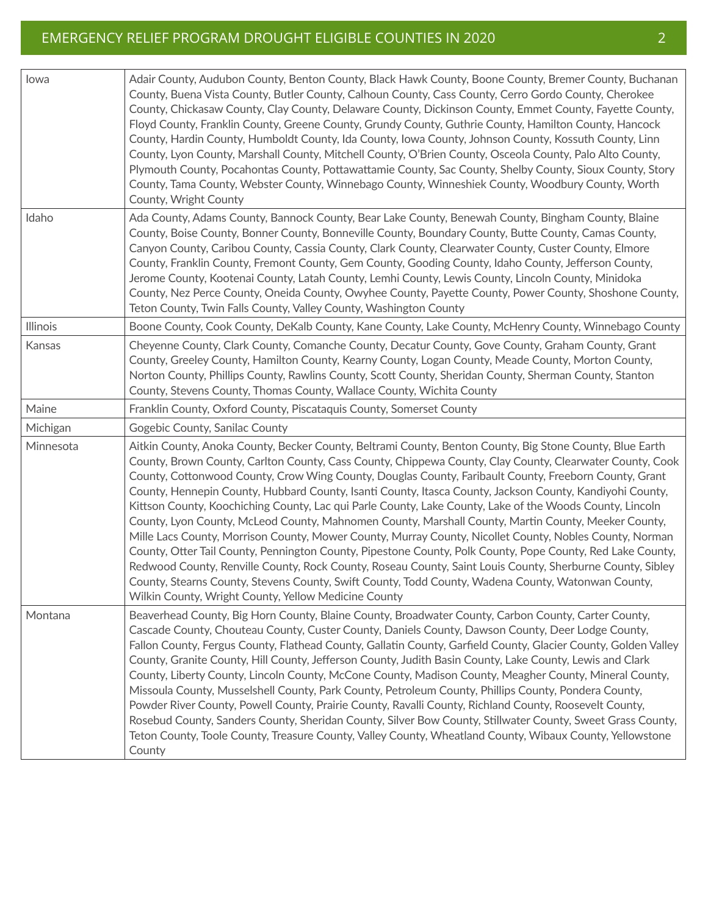### EMERGENCY RELIEF PROGRAM DROUGHT ELIGIBLE COUNTIES IN 2020 2

| lowa            | Adair County, Audubon County, Benton County, Black Hawk County, Boone County, Bremer County, Buchanan<br>County, Buena Vista County, Butler County, Calhoun County, Cass County, Cerro Gordo County, Cherokee<br>County, Chickasaw County, Clay County, Delaware County, Dickinson County, Emmet County, Fayette County,<br>Floyd County, Franklin County, Greene County, Grundy County, Guthrie County, Hamilton County, Hancock<br>County, Hardin County, Humboldt County, Ida County, Iowa County, Johnson County, Kossuth County, Linn<br>County, Lyon County, Marshall County, Mitchell County, O'Brien County, Osceola County, Palo Alto County,<br>Plymouth County, Pocahontas County, Pottawattamie County, Sac County, Shelby County, Sioux County, Story<br>County, Tama County, Webster County, Winnebago County, Winneshiek County, Woodbury County, Worth<br>County, Wright County                                                                                                                                                                                                                                                                  |
|-----------------|------------------------------------------------------------------------------------------------------------------------------------------------------------------------------------------------------------------------------------------------------------------------------------------------------------------------------------------------------------------------------------------------------------------------------------------------------------------------------------------------------------------------------------------------------------------------------------------------------------------------------------------------------------------------------------------------------------------------------------------------------------------------------------------------------------------------------------------------------------------------------------------------------------------------------------------------------------------------------------------------------------------------------------------------------------------------------------------------------------------------------------------------------------------|
| Idaho           | Ada County, Adams County, Bannock County, Bear Lake County, Benewah County, Bingham County, Blaine<br>County, Boise County, Bonner County, Bonneville County, Boundary County, Butte County, Camas County,<br>Canyon County, Caribou County, Cassia County, Clark County, Clearwater County, Custer County, Elmore<br>County, Franklin County, Fremont County, Gem County, Gooding County, Idaho County, Jefferson County,<br>Jerome County, Kootenai County, Latah County, Lemhi County, Lewis County, Lincoln County, Minidoka<br>County, Nez Perce County, Oneida County, Owyhee County, Payette County, Power County, Shoshone County,<br>Teton County, Twin Falls County, Valley County, Washington County                                                                                                                                                                                                                                                                                                                                                                                                                                                  |
| <b>Illinois</b> | Boone County, Cook County, DeKalb County, Kane County, Lake County, McHenry County, Winnebago County                                                                                                                                                                                                                                                                                                                                                                                                                                                                                                                                                                                                                                                                                                                                                                                                                                                                                                                                                                                                                                                             |
| Kansas          | Cheyenne County, Clark County, Comanche County, Decatur County, Gove County, Graham County, Grant<br>County, Greeley County, Hamilton County, Kearny County, Logan County, Meade County, Morton County,<br>Norton County, Phillips County, Rawlins County, Scott County, Sheridan County, Sherman County, Stanton<br>County, Stevens County, Thomas County, Wallace County, Wichita County                                                                                                                                                                                                                                                                                                                                                                                                                                                                                                                                                                                                                                                                                                                                                                       |
| Maine           | Franklin County, Oxford County, Piscataquis County, Somerset County                                                                                                                                                                                                                                                                                                                                                                                                                                                                                                                                                                                                                                                                                                                                                                                                                                                                                                                                                                                                                                                                                              |
| Michigan        | Gogebic County, Sanilac County                                                                                                                                                                                                                                                                                                                                                                                                                                                                                                                                                                                                                                                                                                                                                                                                                                                                                                                                                                                                                                                                                                                                   |
| Minnesota       | Aitkin County, Anoka County, Becker County, Beltrami County, Benton County, Big Stone County, Blue Earth<br>County, Brown County, Carlton County, Cass County, Chippewa County, Clay County, Clearwater County, Cook<br>County, Cottonwood County, Crow Wing County, Douglas County, Faribault County, Freeborn County, Grant<br>County, Hennepin County, Hubbard County, Isanti County, Itasca County, Jackson County, Kandiyohi County,<br>Kittson County, Koochiching County, Lac qui Parle County, Lake County, Lake of the Woods County, Lincoln<br>County, Lyon County, McLeod County, Mahnomen County, Marshall County, Martin County, Meeker County,<br>Mille Lacs County, Morrison County, Mower County, Murray County, Nicollet County, Nobles County, Norman<br>County, Otter Tail County, Pennington County, Pipestone County, Polk County, Pope County, Red Lake County,<br>Redwood County, Renville County, Rock County, Roseau County, Saint Louis County, Sherburne County, Sibley<br>County, Stearns County, Stevens County, Swift County, Todd County, Wadena County, Watonwan County,<br>Wilkin County, Wright County, Yellow Medicine County |
| Montana         | Beaverhead County, Big Horn County, Blaine County, Broadwater County, Carbon County, Carter County,<br>Cascade County, Chouteau County, Custer County, Daniels County, Dawson County, Deer Lodge County,<br>Fallon County, Fergus County, Flathead County, Gallatin County, Garfield County, Glacier County, Golden Valley<br>County, Granite County, Hill County, Jefferson County, Judith Basin County, Lake County, Lewis and Clark<br>County, Liberty County, Lincoln County, McCone County, Madison County, Meagher County, Mineral County,<br>Missoula County, Musselshell County, Park County, Petroleum County, Phillips County, Pondera County,<br>Powder River County, Powell County, Prairie County, Ravalli County, Richland County, Roosevelt County,<br>Rosebud County, Sanders County, Sheridan County, Silver Bow County, Stillwater County, Sweet Grass County,<br>Teton County, Toole County, Treasure County, Valley County, Wheatland County, Wibaux County, Yellowstone<br>County                                                                                                                                                           |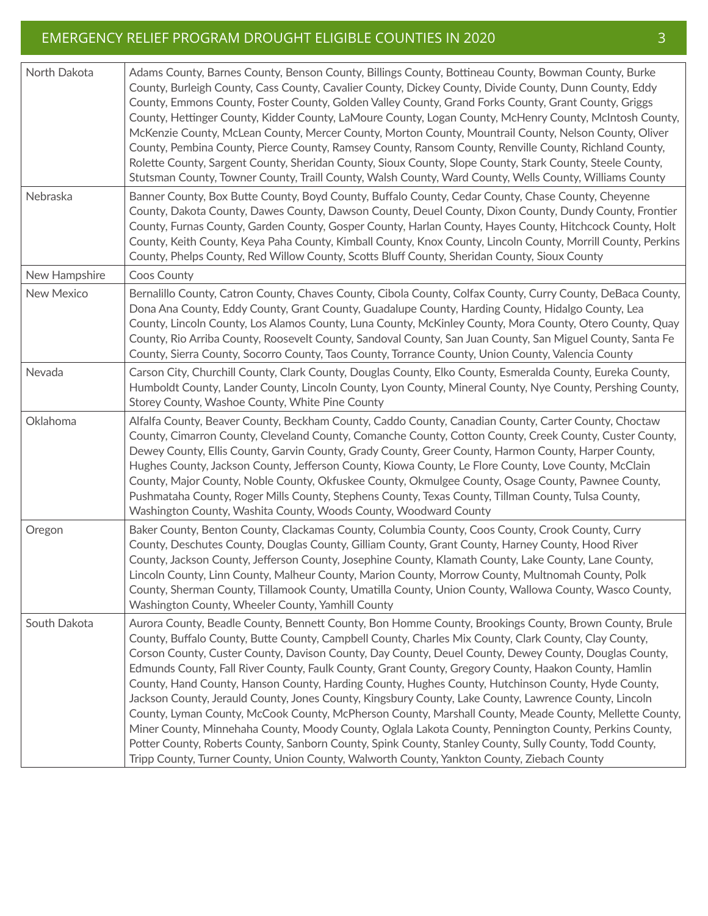#### EMERGENCY RELIEF PROGRAM DROUGHT ELIGIBLE COUNTIES IN 2020 3

| North Dakota  | Adams County, Barnes County, Benson County, Billings County, Bottineau County, Bowman County, Burke<br>County, Burleigh County, Cass County, Cavalier County, Dickey County, Divide County, Dunn County, Eddy<br>County, Emmons County, Foster County, Golden Valley County, Grand Forks County, Grant County, Griggs<br>County, Hettinger County, Kidder County, LaMoure County, Logan County, McHenry County, McIntosh County,<br>McKenzie County, McLean County, Mercer County, Morton County, Mountrail County, Nelson County, Oliver<br>County, Pembina County, Pierce County, Ramsey County, Ransom County, Renville County, Richland County,<br>Rolette County, Sargent County, Sheridan County, Sioux County, Slope County, Stark County, Steele County,<br>Stutsman County, Towner County, Traill County, Walsh County, Ward County, Wells County, Williams County                                                                                                                                                                                                 |
|---------------|-----------------------------------------------------------------------------------------------------------------------------------------------------------------------------------------------------------------------------------------------------------------------------------------------------------------------------------------------------------------------------------------------------------------------------------------------------------------------------------------------------------------------------------------------------------------------------------------------------------------------------------------------------------------------------------------------------------------------------------------------------------------------------------------------------------------------------------------------------------------------------------------------------------------------------------------------------------------------------------------------------------------------------------------------------------------------------|
| Nebraska      | Banner County, Box Butte County, Boyd County, Buffalo County, Cedar County, Chase County, Cheyenne<br>County, Dakota County, Dawes County, Dawson County, Deuel County, Dixon County, Dundy County, Frontier<br>County, Furnas County, Garden County, Gosper County, Harlan County, Hayes County, Hitchcock County, Holt<br>County, Keith County, Keya Paha County, Kimball County, Knox County, Lincoln County, Morrill County, Perkins<br>County, Phelps County, Red Willow County, Scotts Bluff County, Sheridan County, Sioux County                                                                                                                                                                                                                                                                                                                                                                                                                                                                                                                                    |
| New Hampshire | Coos County                                                                                                                                                                                                                                                                                                                                                                                                                                                                                                                                                                                                                                                                                                                                                                                                                                                                                                                                                                                                                                                                 |
| New Mexico    | Bernalillo County, Catron County, Chaves County, Cibola County, Colfax County, Curry County, DeBaca County,<br>Dona Ana County, Eddy County, Grant County, Guadalupe County, Harding County, Hidalgo County, Lea<br>County, Lincoln County, Los Alamos County, Luna County, McKinley County, Mora County, Otero County, Quay<br>County, Rio Arriba County, Roosevelt County, Sandoval County, San Juan County, San Miguel County, Santa Fe<br>County, Sierra County, Socorro County, Taos County, Torrance County, Union County, Valencia County                                                                                                                                                                                                                                                                                                                                                                                                                                                                                                                            |
| Nevada        | Carson City, Churchill County, Clark County, Douglas County, Elko County, Esmeralda County, Eureka County,<br>Humboldt County, Lander County, Lincoln County, Lyon County, Mineral County, Nye County, Pershing County,<br>Storey County, Washoe County, White Pine County                                                                                                                                                                                                                                                                                                                                                                                                                                                                                                                                                                                                                                                                                                                                                                                                  |
| Oklahoma      | Alfalfa County, Beaver County, Beckham County, Caddo County, Canadian County, Carter County, Choctaw<br>County, Cimarron County, Cleveland County, Comanche County, Cotton County, Creek County, Custer County,<br>Dewey County, Ellis County, Garvin County, Grady County, Greer County, Harmon County, Harper County,<br>Hughes County, Jackson County, Jefferson County, Kiowa County, Le Flore County, Love County, McClain<br>County, Major County, Noble County, Okfuskee County, Okmulgee County, Osage County, Pawnee County,<br>Pushmataha County, Roger Mills County, Stephens County, Texas County, Tillman County, Tulsa County,<br>Washington County, Washita County, Woods County, Woodward County                                                                                                                                                                                                                                                                                                                                                            |
| Oregon        | Baker County, Benton County, Clackamas County, Columbia County, Coos County, Crook County, Curry<br>County, Deschutes County, Douglas County, Gilliam County, Grant County, Harney County, Hood River<br>County, Jackson County, Jefferson County, Josephine County, Klamath County, Lake County, Lane County,<br>Lincoln County, Linn County, Malheur County, Marion County, Morrow County, Multnomah County, Polk<br>County, Sherman County, Tillamook County, Umatilla County, Union County, Wallowa County, Wasco County,<br>Washington County, Wheeler County, Yamhill County                                                                                                                                                                                                                                                                                                                                                                                                                                                                                          |
| South Dakota  | Aurora County, Beadle County, Bennett County, Bon Homme County, Brookings County, Brown County, Brule<br>County, Buffalo County, Butte County, Campbell County, Charles Mix County, Clark County, Clay County,<br>Corson County, Custer County, Davison County, Day County, Deuel County, Dewey County, Douglas County,<br>Edmunds County, Fall River County, Faulk County, Grant County, Gregory County, Haakon County, Hamlin<br>County, Hand County, Hanson County, Harding County, Hughes County, Hutchinson County, Hyde County,<br>Jackson County, Jerauld County, Jones County, Kingsbury County, Lake County, Lawrence County, Lincoln<br>County, Lyman County, McCook County, McPherson County, Marshall County, Meade County, Mellette County,<br>Miner County, Minnehaha County, Moody County, Oglala Lakota County, Pennington County, Perkins County,<br>Potter County, Roberts County, Sanborn County, Spink County, Stanley County, Sully County, Todd County,<br>Tripp County, Turner County, Union County, Walworth County, Yankton County, Ziebach County |